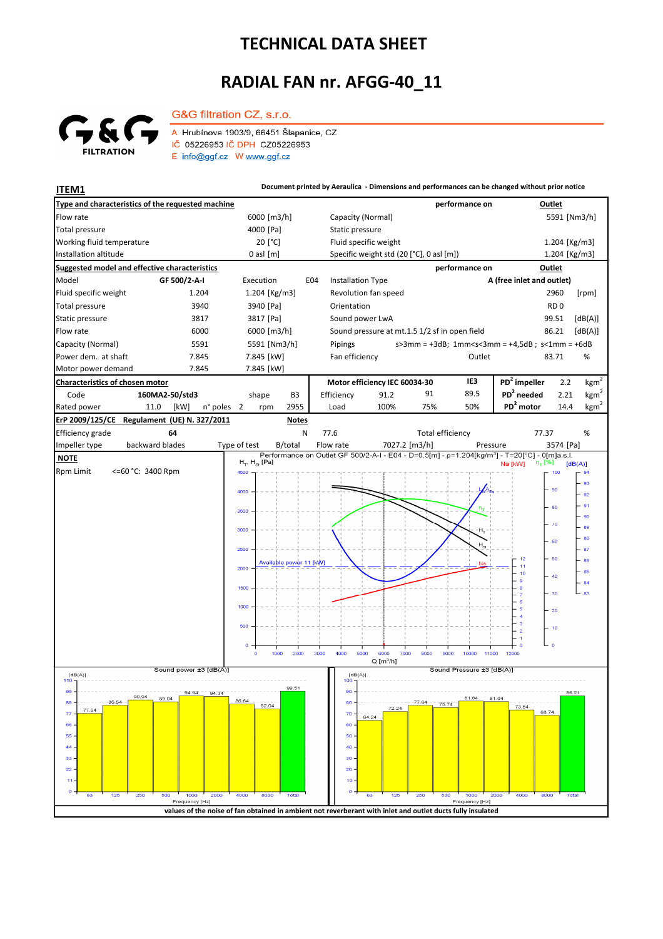## **TECHNICAL DATA SHEET**

## **RADIAL FAN nr. AFGG-40\_11**



G&G filtration CZ, s.r.o.

A Hrubínova 1903/9, 66451 Šlapanice, CZ IČ 05226953 IČ DPH CZ05226953  $E$  info@ggf.cz W www.ggf.cz

**ITEM1 ITEM1 Document printed by Aeraulica** - Dimensions and performances can be changed without prior notice **Type and characteristics of the requested machine performance on Outlet** Capacity (Normal) Flow rate 6000 [m3/h] 5591 [Nm3/h] [Pa] Static pressure Total pressure Working fluid temperature 20<sup>[°</sup>C] Fluid specific weight 1.204 [Kg/m3] Installation altitude 0 asl [m] Specific weight std (20 [°C], 0 asl [m]) Specific weight std (20 [°C], 0 asl [m]) 1.204 [Kg/m3] **Suggested model and effective characteristics performance on Outlet** Model **GF 500/2-A-I** Execution E04 Installation Type **A (free inlet and outlet)** Fluid specific weight 1.204 1.204 [Kg/m3] Revolution fan speed 2960 [rpm] Total pressure 3940 3940 [Pa] Orientation **RD** 0 Static pressure 3817 3817 3817 [Pa] Sound power LwA 99.51 [dB(A)] Flow rate 6000 6000 6000 [m3/h] Sound pressure at mt.1.5 1/2 sf in open field 86.21 [dB(A)] Capacity (Normal) 5591 5591 [Nm3/h] s>3mm = +3dB; 1mm<s<3mm = +4,5dB ; s<1mm = +6dB Pipings Power dem. at shaft 7.845 7.845 [kW] Fan efficiency Cutlet 63.71 % 83.71 Motor power demand T.845 7.845 [kW] **Characteristics of chosen motor Motor efficiency IEC 60034-30 IE3 PD<sup>2</sup> impeller** 2.2  $kgm<sup>2</sup>$ Code **160MA2-50/std3 PD<sup>2</sup> needed** 2.21 shape B3 Efficiency 91.2 91 89.5 kgm n° poles 2 rpm 2955 Load 100% 75% 50% **PD<sup>2</sup> motor** 14.4 kgm<sup>2</sup> Rated power 11.0 [kW] 2 2955 Load 100% 75% 50% **PD<sup>2</sup> ErP 2009/125/CE Regulament (UE) N. 327/2011 Notes** Efficiency grade **64** 77.37 N 77.6 % Total efficiency backward blades Impeller type backward blades Type of test B/total Flow rate 7027.2 [m3/h] Pressure 3574 [Pa]  **NOTE**  $H_{\pi}$ ,  $H_{\infty}$  [Pa]  $[dB(A)]$ Rpm Limit <=60 °C: 3400 Rpm  $4500$  $100$ 93 9f 92  $91$ 90 89 3000 88 .<br>er  $2500$ 87  $12$ 60  $-86$ <mark>Available powe</mark>r <mark>11 [kW]</mark>  $\frac{11}{10}$ 2000  $\overline{a}$  $\overline{40}$  $\begin{bmatrix} 84 \\ 83 \end{bmatrix}$  $\overline{a}$  $\overline{\mathbf{36}}$  $1000$  $\overline{20}$  $-10$ 1000  $2000$ 3000 4000  $500$ റ്റ  $8000$  $9000$  $10000$ 11000  $12000$  $Q[m^3/h]$ ا<br>Sound power ±3 [dB(A)] Sound Pressure ±3 [dB(A)]  $[dB(A)]$  $[dB(A)]$ .<br>00 R.1 94.34 86.21 90.94 89.04 81.04 88 86,84 80 82.04 73.54 72.24 68.74  $\overline{r}$  $7<sup>c</sup>$  $64.24$  $66$ 60  $\overline{5}$ 50  $\overline{44}$  $\overline{40}$ 33 30  $\overline{2}$  $\overline{20}$  $\overline{1}$  $10$  $\overline{c}$ Freq y [Hz y [Hz] **values of the noise of fan obtained in ambient not reverberant with inlet and outlet ducts fully insulated**